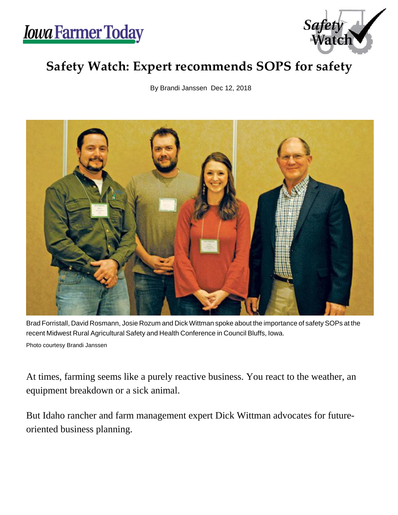



## **Safety Watch: Expert recommends SOPS for safety**

By Brandi Janssen Dec 12, 2018



Brad Forristall, David Rosmann, Josie Rozum and Dick Wittman spoke about the importance of safety SOPs at the recent Midwest Rural Agricultural Safety and Health Conference in Council Bluffs, Iowa. Photo courtesy Brandi Janssen

At times, farming seems like a purely reactive business. You react to the weather, an equipment breakdown or a sick animal.

But Idaho rancher and farm management expert Dick Wittman advocates for futureoriented business planning.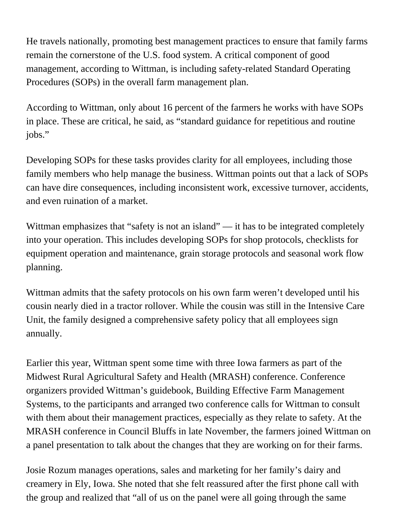He travels nationally, promoting best management practices to ensure that family farms remain the cornerstone of the U.S. food system. A critical component of good management, according to Wittman, is including safety-related Standard Operating Procedures (SOPs) in the overall farm management plan.

According to Wittman, only about 16 percent of the farmers he works with have SOPs in place. These are critical, he said, as "standard guidance for repetitious and routine jobs."

Developing SOPs for these tasks provides clarity for all employees, including those family members who help manage the business. Wittman points out that a lack of SOPs can have dire consequences, including inconsistent work, excessive turnover, accidents, and even ruination of a market.

Wittman emphasizes that "safety is not an island" — it has to be integrated completely into your operation. This includes developing SOPs for shop protocols, checklists for equipment operation and maintenance, grain storage protocols and seasonal work flow planning.

Wittman admits that the safety protocols on his own farm weren't developed until his cousin nearly died in a tractor rollover. While the cousin was still in the Intensive Care Unit, the family designed a comprehensive safety policy that all employees sign annually.

Earlier this year, Wittman spent some time with three Iowa farmers as part of the Midwest Rural Agricultural Safety and Health (MRASH) conference. Conference organizers provided Wittman's guidebook, Building Effective Farm Management Systems, to the participants and arranged two conference calls for Wittman to consult with them about their management practices, especially as they relate to safety. At the MRASH conference in Council Bluffs in late November, the farmers joined Wittman on a panel presentation to talk about the changes that they are working on for their farms.

Josie Rozum manages operations, sales and marketing for her family's dairy and creamery in Ely, Iowa. She noted that she felt reassured after the first phone call with the group and realized that "all of us on the panel were all going through the same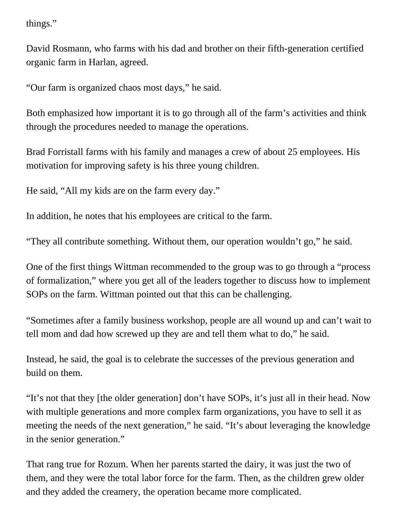things."

David Rosmann, who farms with his dad and brother on their fifth-generation certified organic farm in Harlan, agreed.

"Our farm is organized chaos most days," he said.

Both emphasized how important it is to go through all of the farm's activities and think through the procedures needed to manage the operations.

Brad Forristall farms with his family and manages a crew of about 25 employees. His motivation for improving safety is his three young children.

He said, "All my kids are on the farm every day."

In addition, he notes that his employees are critical to the farm.

"They all contribute something. Without them, our operation wouldn't go," he said.

One of the first things Wittman recommended to the group was to go through a "process of formalization," where you get all of the leaders together to discuss how to implement SOPs on the farm. Wittman pointed out that this can be challenging.

"Sometimes after a family business workshop, people are all wound up and can't wait to tell mom and dad how screwed up they are and tell them what to do," he said.

Instead, he said, the goal is to celebrate the successes of the previous generation and build on them.

"It's not that they [the older generation] don't have SOPs, it's just all in their head. Now with multiple generations and more complex farm organizations, you have to sell it as meeting the needs of the next generation," he said. "It's about leveraging the knowledge in the senior generation."

That rang true for Rozum. When her parents started the dairy, it was just the two of them, and they were the total labor force for the farm. Then, as the children grew older and they added the creamery, the operation became more complicated.